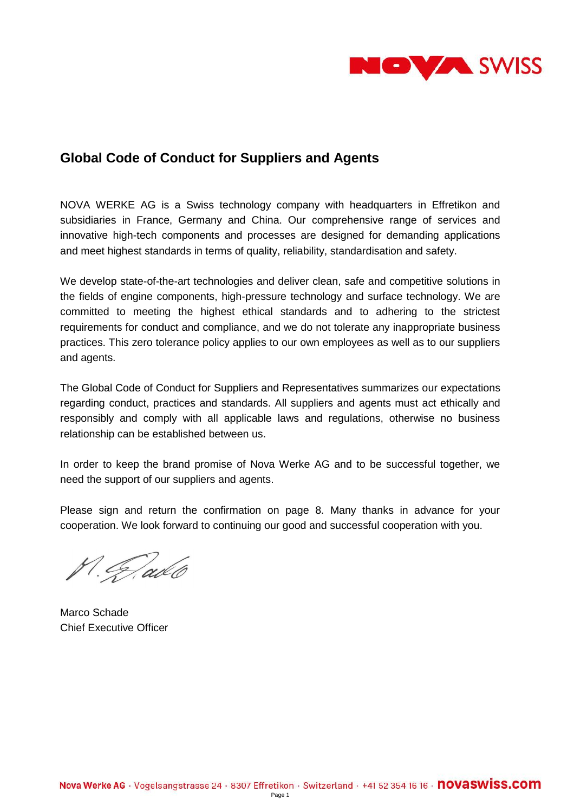

# **Global Code of Conduct for Suppliers and Agents**

NOVA WERKE AG is a Swiss technology company with headquarters in Effretikon and subsidiaries in France, Germany and China. Our comprehensive range of services and innovative high-tech components and processes are designed for demanding applications and meet highest standards in terms of quality, reliability, standardisation and safety.

We develop state-of-the-art technologies and deliver clean, safe and competitive solutions in the fields of engine components, high-pressure technology and surface technology. We are committed to meeting the highest ethical standards and to adhering to the strictest requirements for conduct and compliance, and we do not tolerate any inappropriate business practices. This zero tolerance policy applies to our own employees as well as to our suppliers and agents.

The Global Code of Conduct for Suppliers and Representatives summarizes our expectations regarding conduct, practices and standards. All suppliers and agents must act ethically and responsibly and comply with all applicable laws and regulations, otherwise no business relationship can be established between us.

In order to keep the brand promise of Nova Werke AG and to be successful together, we need the support of our suppliers and agents.

Please sign and return the confirmation on page 8. Many thanks in advance for your cooperation. We look forward to continuing our good and successful cooperation with you.

P. G. ado

Marco Schade Chief Executive Officer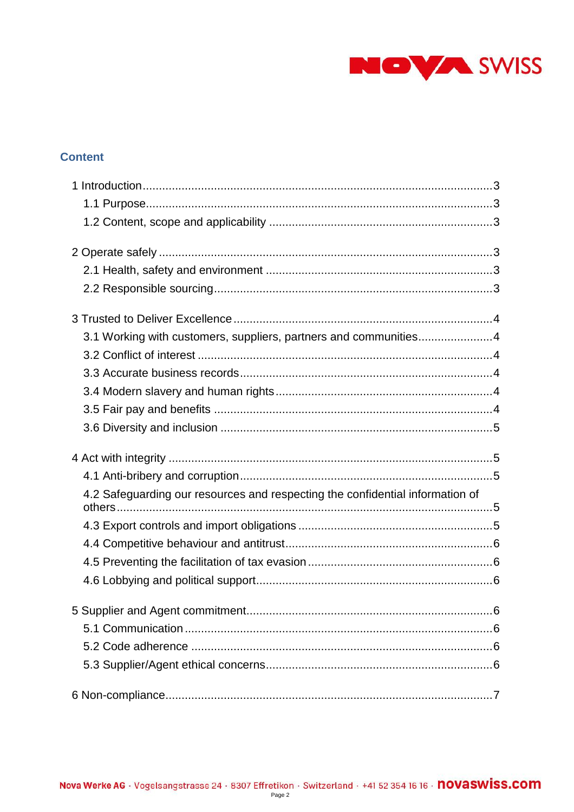

# **Content**

| 3.1 Working with customers, suppliers, partners and communities4              |
|-------------------------------------------------------------------------------|
|                                                                               |
|                                                                               |
|                                                                               |
|                                                                               |
|                                                                               |
|                                                                               |
|                                                                               |
|                                                                               |
|                                                                               |
| 4.2 Safeguarding our resources and respecting the confidential information of |
|                                                                               |
|                                                                               |
|                                                                               |
|                                                                               |
|                                                                               |
|                                                                               |
|                                                                               |
|                                                                               |
|                                                                               |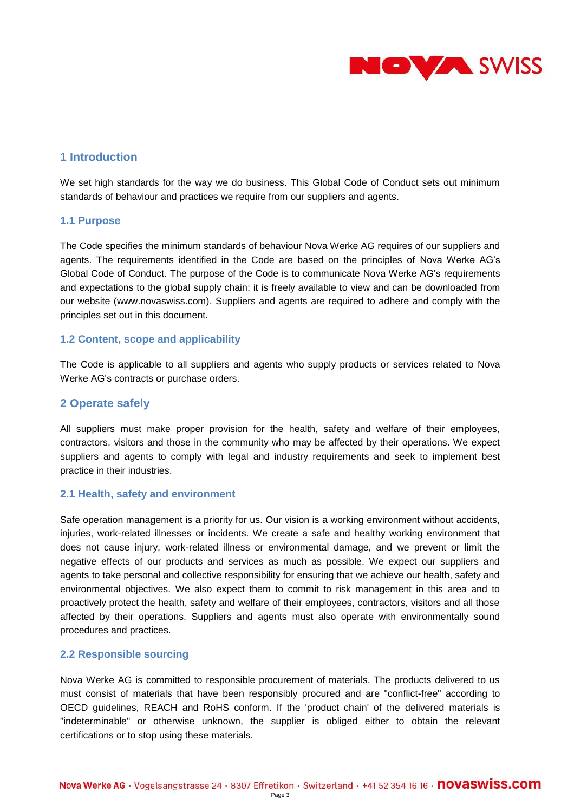

# <span id="page-2-0"></span>**1 Introduction**

We set high standards for the way we do business. This Global Code of Conduct sets out minimum standards of behaviour and practices we require from our suppliers and agents.

### <span id="page-2-1"></span>**1.1 Purpose**

The Code specifies the minimum standards of behaviour Nova Werke AG requires of our suppliers and agents. The requirements identified in the Code are based on the principles of Nova Werke AG's Global Code of Conduct. The purpose of the Code is to communicate Nova Werke AG's requirements and expectations to the global supply chain; it is freely available to view and can be downloaded from our website (www.novaswiss.com). Suppliers and agents are required to adhere and comply with the principles set out in this document.

### <span id="page-2-2"></span>**1.2 Content, scope and applicability**

The Code is applicable to all suppliers and agents who supply products or services related to Nova Werke AG's contracts or purchase orders.

## <span id="page-2-3"></span>**2 Operate safely**

All suppliers must make proper provision for the health, safety and welfare of their employees, contractors, visitors and those in the community who may be affected by their operations. We expect suppliers and agents to comply with legal and industry requirements and seek to implement best practice in their industries.

### <span id="page-2-4"></span>**2.1 Health, safety and environment**

Safe operation management is a priority for us. Our vision is a working environment without accidents, injuries, work-related illnesses or incidents. We create a safe and healthy working environment that does not cause injury, work-related illness or environmental damage, and we prevent or limit the negative effects of our products and services as much as possible. We expect our suppliers and agents to take personal and collective responsibility for ensuring that we achieve our health, safety and environmental objectives. We also expect them to commit to risk management in this area and to proactively protect the health, safety and welfare of their employees, contractors, visitors and all those affected by their operations. Suppliers and agents must also operate with environmentally sound procedures and practices.

### <span id="page-2-5"></span>**2.2 Responsible sourcing**

Nova Werke AG is committed to responsible procurement of materials. The products delivered to us must consist of materials that have been responsibly procured and are "conflict-free" according to OECD guidelines, REACH and RoHS conform. If the 'product chain' of the delivered materials is "indeterminable" or otherwise unknown, the supplier is obliged either to obtain the relevant certifications or to stop using these materials.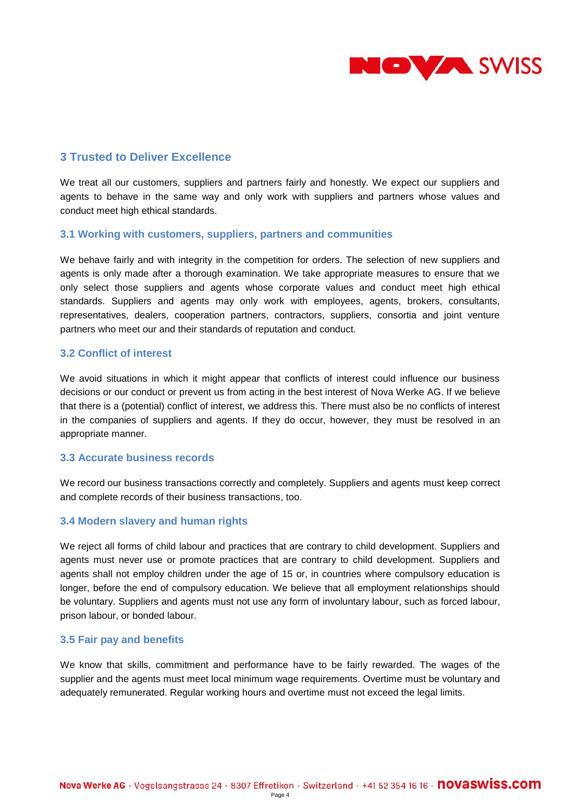

# <span id="page-3-0"></span>**3 Trusted to Deliver Excellence**

We treat all our customers, suppliers and partners fairly and honestly. We expect our suppliers and agents to behave in the same way and only work with suppliers and partners whose values and conduct meet high ethical standards.

### <span id="page-3-1"></span>**3.1 Working with customers, suppliers, partners and communities**

We behave fairly and with integrity in the competition for orders. The selection of new suppliers and agents is only made after a thorough examination. We take appropriate measures to ensure that we only select those suppliers and agents whose corporate values and conduct meet high ethical standards. Suppliers and agents may only work with employees, agents, brokers, consultants, representatives, dealers, cooperation partners, contractors, suppliers, consortia and joint venture partners who meet our and their standards of reputation and conduct.

### <span id="page-3-2"></span>**3.2 Conflict of interest**

We avoid situations in which it might appear that conflicts of interest could influence our business decisions or our conduct or prevent us from acting in the best interest of Nova Werke AG. If we believe that there is a (potential) conflict of interest, we address this. There must also be no conflicts of interest in the companies of suppliers and agents. If they do occur, however, they must be resolved in an appropriate manner.

### <span id="page-3-3"></span>**3.3 Accurate business records**

We record our business transactions correctly and completely. Suppliers and agents must keep correct and complete records of their business transactions, too.

### <span id="page-3-4"></span>**3.4 Modern slavery and human rights**

We reject all forms of child labour and practices that are contrary to child development. Suppliers and agents must never use or promote practices that are contrary to child development. Suppliers and agents shall not employ children under the age of 15 or, in countries where compulsory education is longer, before the end of compulsory education. We believe that all employment relationships should be voluntary. Suppliers and agents must not use any form of involuntary labour, such as forced labour, prison labour, or bonded labour.

### <span id="page-3-5"></span>**3.5 Fair pay and benefits**

We know that skills, commitment and performance have to be fairly rewarded. The wages of the supplier and the agents must meet local minimum wage requirements. Overtime must be voluntary and adequately remunerated. Regular working hours and overtime must not exceed the legal limits.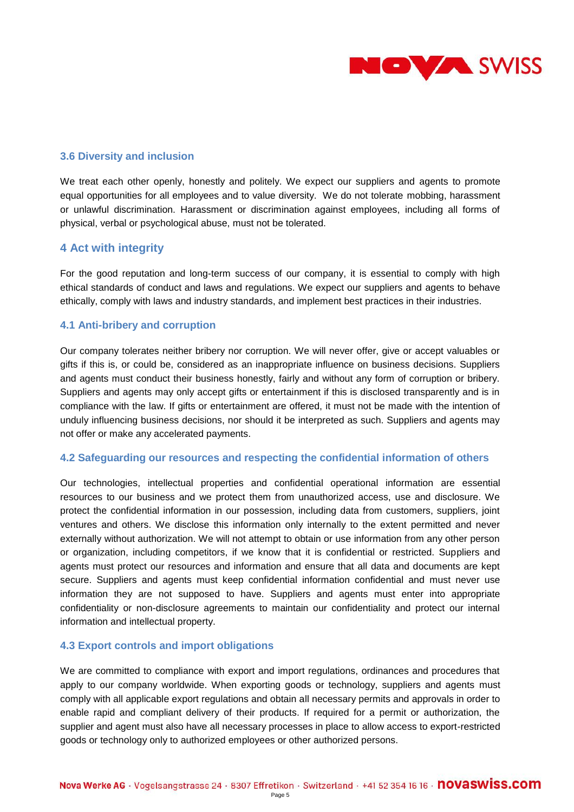

### <span id="page-4-0"></span>**3.6 Diversity and inclusion**

We treat each other openly, honestly and politely. We expect our suppliers and agents to promote equal opportunities for all employees and to value diversity. We do not tolerate mobbing, harassment or unlawful discrimination. Harassment or discrimination against employees, including all forms of physical, verbal or psychological abuse, must not be tolerated.

# <span id="page-4-1"></span>**4 Act with integrity**

For the good reputation and long-term success of our company, it is essential to comply with high ethical standards of conduct and laws and regulations. We expect our suppliers and agents to behave ethically, comply with laws and industry standards, and implement best practices in their industries.

### <span id="page-4-2"></span>**4.1 Anti-bribery and corruption**

Our company tolerates neither bribery nor corruption. We will never offer, give or accept valuables or gifts if this is, or could be, considered as an inappropriate influence on business decisions. Suppliers and agents must conduct their business honestly, fairly and without any form of corruption or bribery. Suppliers and agents may only accept gifts or entertainment if this is disclosed transparently and is in compliance with the law. If gifts or entertainment are offered, it must not be made with the intention of unduly influencing business decisions, nor should it be interpreted as such. Suppliers and agents may not offer or make any accelerated payments.

### <span id="page-4-3"></span>**4.2 Safeguarding our resources and respecting the confidential information of others**

Our technologies, intellectual properties and confidential operational information are essential resources to our business and we protect them from unauthorized access, use and disclosure. We protect the confidential information in our possession, including data from customers, suppliers, joint ventures and others. We disclose this information only internally to the extent permitted and never externally without authorization. We will not attempt to obtain or use information from any other person or organization, including competitors, if we know that it is confidential or restricted. Suppliers and agents must protect our resources and information and ensure that all data and documents are kept secure. Suppliers and agents must keep confidential information confidential and must never use information they are not supposed to have. Suppliers and agents must enter into appropriate confidentiality or non-disclosure agreements to maintain our confidentiality and protect our internal information and intellectual property.

### <span id="page-4-4"></span>**4.3 Export controls and import obligations**

We are committed to compliance with export and import regulations, ordinances and procedures that apply to our company worldwide. When exporting goods or technology, suppliers and agents must comply with all applicable export regulations and obtain all necessary permits and approvals in order to enable rapid and compliant delivery of their products. If required for a permit or authorization, the supplier and agent must also have all necessary processes in place to allow access to export-restricted goods or technology only to authorized employees or other authorized persons.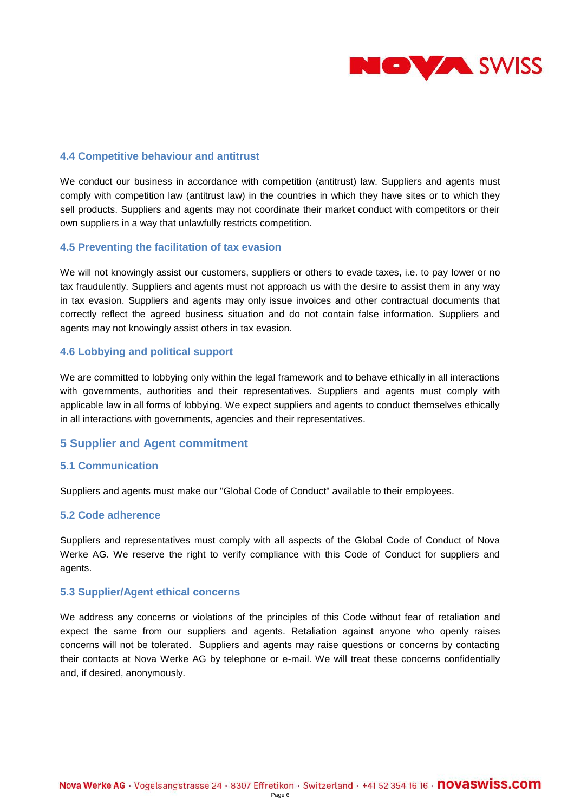

### <span id="page-5-0"></span>**4.4 Competitive behaviour and antitrust**

We conduct our business in accordance with competition (antitrust) law. Suppliers and agents must comply with competition law (antitrust law) in the countries in which they have sites or to which they sell products. Suppliers and agents may not coordinate their market conduct with competitors or their own suppliers in a way that unlawfully restricts competition.

### <span id="page-5-1"></span>**4.5 Preventing the facilitation of tax evasion**

We will not knowingly assist our customers, suppliers or others to evade taxes, i.e. to pay lower or no tax fraudulently. Suppliers and agents must not approach us with the desire to assist them in any way in tax evasion. Suppliers and agents may only issue invoices and other contractual documents that correctly reflect the agreed business situation and do not contain false information. Suppliers and agents may not knowingly assist others in tax evasion.

### <span id="page-5-2"></span>**4.6 Lobbying and political support**

We are committed to lobbying only within the legal framework and to behave ethically in all interactions with governments, authorities and their representatives. Suppliers and agents must comply with applicable law in all forms of lobbying. We expect suppliers and agents to conduct themselves ethically in all interactions with governments, agencies and their representatives.

### <span id="page-5-3"></span>**5 Supplier and Agent commitment**

### <span id="page-5-4"></span>**5.1 Communication**

Suppliers and agents must make our "Global Code of Conduct" available to their employees.

### <span id="page-5-5"></span>**5.2 Code adherence**

Suppliers and representatives must comply with all aspects of the Global Code of Conduct of Nova Werke AG. We reserve the right to verify compliance with this Code of Conduct for suppliers and agents.

#### <span id="page-5-6"></span>**5.3 Supplier/Agent ethical concerns**

We address any concerns or violations of the principles of this Code without fear of retaliation and expect the same from our suppliers and agents. Retaliation against anyone who openly raises concerns will not be tolerated. Suppliers and agents may raise questions or concerns by contacting their contacts at Nova Werke AG by telephone or e-mail. We will treat these concerns confidentially and, if desired, anonymously.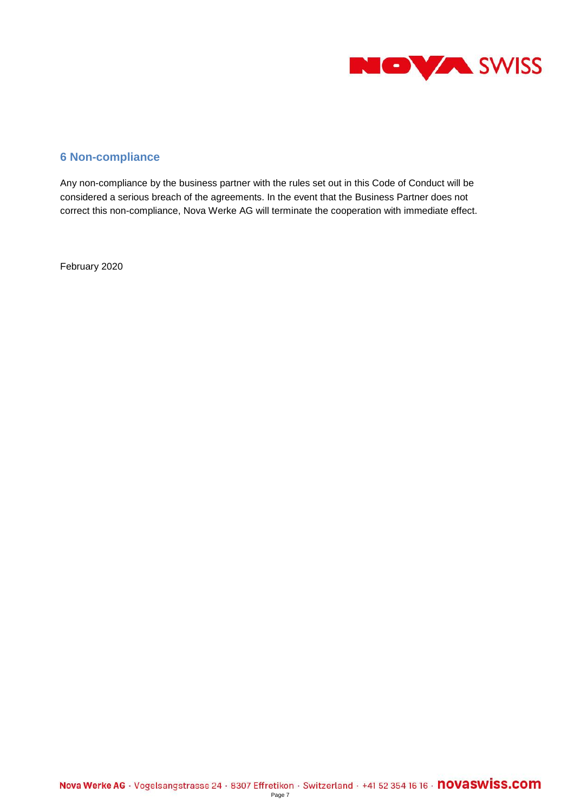

# <span id="page-6-0"></span>**6 Non-compliance**

Any non-compliance by the business partner with the rules set out in this Code of Conduct will be considered a serious breach of the agreements. In the event that the Business Partner does not correct this non-compliance, Nova Werke AG will terminate the cooperation with immediate effect.

February 2020